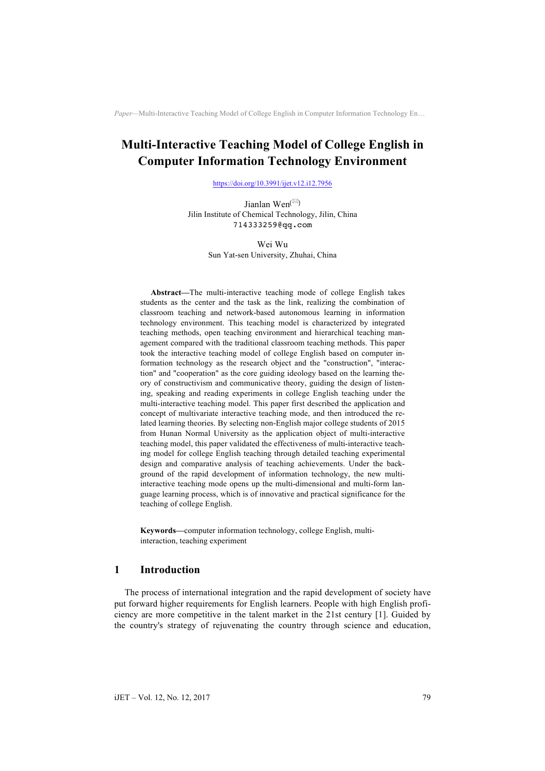# **Multi-Interactive Teaching Model of College English in Computer Information Technology Environment**

https://doi.org/10.3991/ijet.v12.i12.7956

Jianlan Wen<sup>( $\boxtimes$ )</sup> Jilin Institute of Chemical Technology, Jilin, China 714333259@qq.com

> Wei Wu Sun Yat-sen University, Zhuhai, China

**Abstract—**The multi-interactive teaching mode of college English takes students as the center and the task as the link, realizing the combination of classroom teaching and network-based autonomous learning in information technology environment. This teaching model is characterized by integrated teaching methods, open teaching environment and hierarchical teaching management compared with the traditional classroom teaching methods. This paper took the interactive teaching model of college English based on computer information technology as the research object and the "construction", "interaction" and "cooperation" as the core guiding ideology based on the learning theory of constructivism and communicative theory, guiding the design of listening, speaking and reading experiments in college English teaching under the multi-interactive teaching model. This paper first described the application and concept of multivariate interactive teaching mode, and then introduced the related learning theories. By selecting non-English major college students of 2015 from Hunan Normal University as the application object of multi-interactive teaching model, this paper validated the effectiveness of multi-interactive teaching model for college English teaching through detailed teaching experimental design and comparative analysis of teaching achievements. Under the background of the rapid development of information technology, the new multiinteractive teaching mode opens up the multi-dimensional and multi-form language learning process, which is of innovative and practical significance for the teaching of college English.

**Keywords—**computer information technology, college English, multiinteraction, teaching experiment

# **1 Introduction**

The process of international integration and the rapid development of society have put forward higher requirements for English learners. People with high English proficiency are more competitive in the talent market in the 21st century [1]. Guided by the country's strategy of rejuvenating the country through science and education,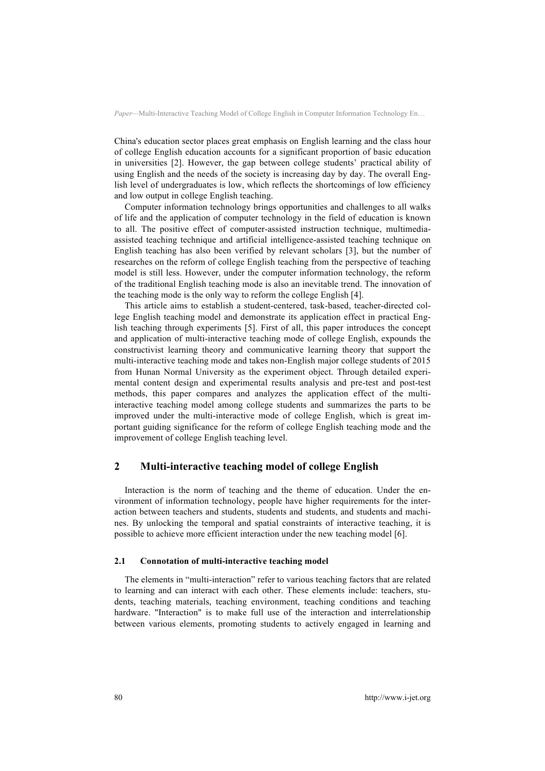China's education sector places great emphasis on English learning and the class hour of college English education accounts for a significant proportion of basic education in universities [2]. However, the gap between college students' practical ability of using English and the needs of the society is increasing day by day. The overall English level of undergraduates is low, which reflects the shortcomings of low efficiency and low output in college English teaching.

Computer information technology brings opportunities and challenges to all walks of life and the application of computer technology in the field of education is known to all. The positive effect of computer-assisted instruction technique, multimediaassisted teaching technique and artificial intelligence-assisted teaching technique on English teaching has also been verified by relevant scholars [3], but the number of researches on the reform of college English teaching from the perspective of teaching model is still less. However, under the computer information technology, the reform of the traditional English teaching mode is also an inevitable trend. The innovation of the teaching mode is the only way to reform the college English [4].

This article aims to establish a student-centered, task-based, teacher-directed college English teaching model and demonstrate its application effect in practical English teaching through experiments [5]. First of all, this paper introduces the concept and application of multi-interactive teaching mode of college English, expounds the constructivist learning theory and communicative learning theory that support the multi-interactive teaching mode and takes non-English major college students of 2015 from Hunan Normal University as the experiment object. Through detailed experimental content design and experimental results analysis and pre-test and post-test methods, this paper compares and analyzes the application effect of the multiinteractive teaching model among college students and summarizes the parts to be improved under the multi-interactive mode of college English, which is great important guiding significance for the reform of college English teaching mode and the improvement of college English teaching level.

# **2 Multi-interactive teaching model of college English**

Interaction is the norm of teaching and the theme of education. Under the environment of information technology, people have higher requirements for the interaction between teachers and students, students and students, and students and machines. By unlocking the temporal and spatial constraints of interactive teaching, it is possible to achieve more efficient interaction under the new teaching model [6].

#### **2.1 Connotation of multi-interactive teaching model**

The elements in "multi-interaction" refer to various teaching factors that are related to learning and can interact with each other. These elements include: teachers, students, teaching materials, teaching environment, teaching conditions and teaching hardware. "Interaction" is to make full use of the interaction and interrelationship between various elements, promoting students to actively engaged in learning and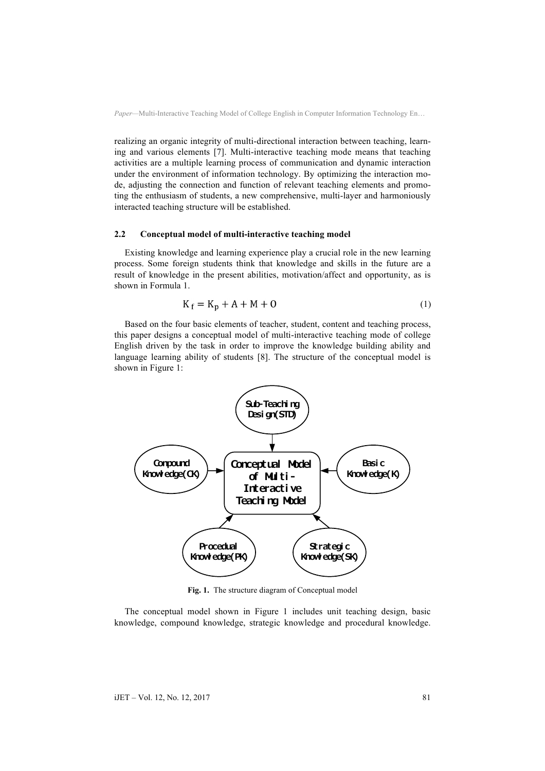realizing an organic integrity of multi-directional interaction between teaching, learning and various elements [7]. Multi-interactive teaching mode means that teaching activities are a multiple learning process of communication and dynamic interaction under the environment of information technology. By optimizing the interaction mode, adjusting the connection and function of relevant teaching elements and promoting the enthusiasm of students, a new comprehensive, multi-layer and harmoniously interacted teaching structure will be established.

#### **2.2 Conceptual model of multi-interactive teaching model**

Existing knowledge and learning experience play a crucial role in the new learning process. Some foreign students think that knowledge and skills in the future are a result of knowledge in the present abilities, motivation/affect and opportunity, as is shown in Formula 1.

$$
K_f = K_p + A + M + O \tag{1}
$$

Based on the four basic elements of teacher, student, content and teaching process, this paper designs a conceptual model of multi-interactive teaching mode of college English driven by the task in order to improve the knowledge building ability and language learning ability of students [8]. The structure of the conceptual model is shown in Figure 1:



**Fig. 1.** The structure diagram of Conceptual model

The conceptual model shown in Figure 1 includes unit teaching design, basic knowledge, compound knowledge, strategic knowledge and procedural knowledge.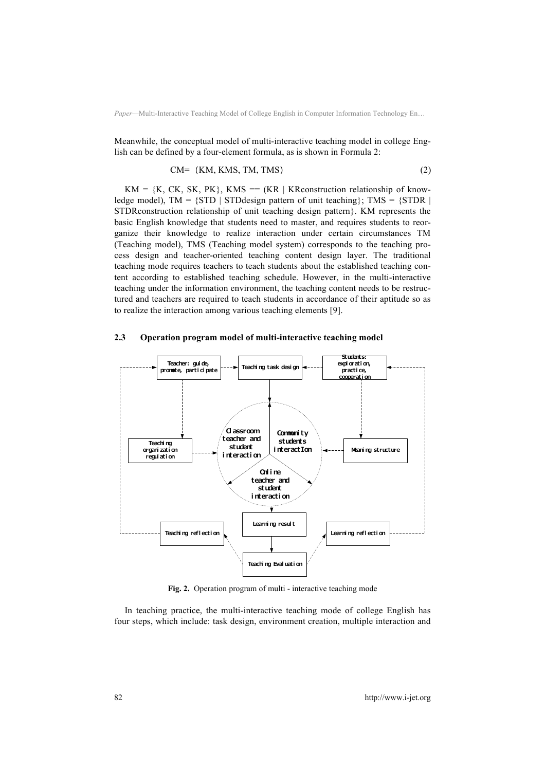Meanwhile, the conceptual model of multi-interactive teaching model in college English can be defined by a four-element formula, as is shown in Formula 2:

$$
CM = (KM, KMS, TM, TMS)
$$
 (2)

 $KM = \{K, CK, SK, PK\}$ , KMS = (KR | KR construction relationship of knowledge model),  $TM = \{STD \mid STD$  design pattern of unit teaching  $\}$ ;  $TMS = \{STDR \mid TD \mid STD \mid STD \}$ STDRconstruction relationship of unit teaching design pattern}. KM represents the basic English knowledge that students need to master, and requires students to reorganize their knowledge to realize interaction under certain circumstances TM (Teaching model), TMS (Teaching model system) corresponds to the teaching process design and teacher-oriented teaching content design layer. The traditional teaching mode requires teachers to teach students about the established teaching content according to established teaching schedule. However, in the multi-interactive teaching under the information environment, the teaching content needs to be restructured and teachers are required to teach students in accordance of their aptitude so as to realize the interaction among various teaching elements [9].

#### teacher and student nteractio **Conmunity** students interactIon **Online** teacher and st udent interaction **Teachi ng** organi zati on  $real$  at i on **Meaning structure Pronote, participate**  $\vert$ ---> **Teaching task design**<br>**pronote, participate** ---> **Teaching task design**  exploration, practice, practice,<br>**cooperation** Teaching reflection Teaching Evaluation Learning reflection Learning result

#### **2.3 Operation program model of multi-interactive teaching model**

**Fig. 2.** Operation program of multi - interactive teaching mode

In teaching practice, the multi-interactive teaching mode of college English has four steps, which include: task design, environment creation, multiple interaction and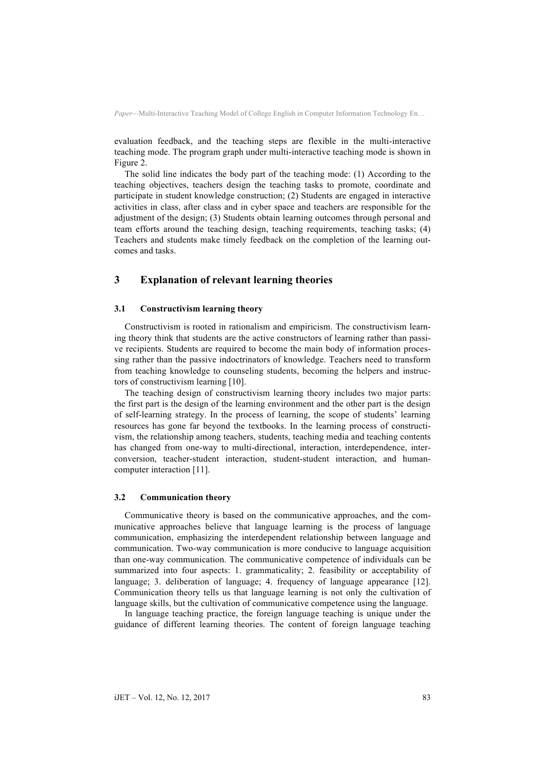evaluation feedback, and the teaching steps are flexible in the multi-interactive teaching mode. The program graph under multi-interactive teaching mode is shown in Figure 2.

The solid line indicates the body part of the teaching mode: (1) According to the teaching objectives, teachers design the teaching tasks to promote, coordinate and participate in student knowledge construction; (2) Students are engaged in interactive activities in class, after class and in cyber space and teachers are responsible for the adjustment of the design; (3) Students obtain learning outcomes through personal and team efforts around the teaching design, teaching requirements, teaching tasks; (4) Teachers and students make timely feedback on the completion of the learning outcomes and tasks.

# **3 Explanation of relevant learning theories**

### **3.1 Constructivism learning theory**

Constructivism is rooted in rationalism and empiricism. The constructivism learning theory think that students are the active constructors of learning rather than passive recipients. Students are required to become the main body of information processing rather than the passive indoctrinators of knowledge. Teachers need to transform from teaching knowledge to counseling students, becoming the helpers and instructors of constructivism learning [10].

The teaching design of constructivism learning theory includes two major parts: the first part is the design of the learning environment and the other part is the design of self-learning strategy. In the process of learning, the scope of students' learning resources has gone far beyond the textbooks. In the learning process of constructivism, the relationship among teachers, students, teaching media and teaching contents has changed from one-way to multi-directional, interaction, interdependence, interconversion, teacher-student interaction, student-student interaction, and humancomputer interaction [11].

#### **3.2 Communication theory**

Communicative theory is based on the communicative approaches, and the communicative approaches believe that language learning is the process of language communication, emphasizing the interdependent relationship between language and communication. Two-way communication is more conducive to language acquisition than one-way communication. The communicative competence of individuals can be summarized into four aspects: 1. grammaticality; 2. feasibility or acceptability of language; 3. deliberation of language; 4. frequency of language appearance [12]. Communication theory tells us that language learning is not only the cultivation of language skills, but the cultivation of communicative competence using the language.

In language teaching practice, the foreign language teaching is unique under the guidance of different learning theories. The content of foreign language teaching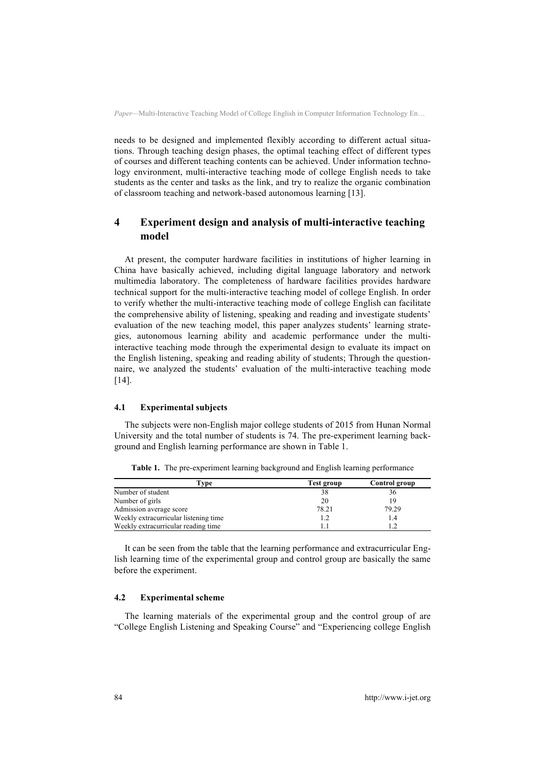needs to be designed and implemented flexibly according to different actual situations. Through teaching design phases, the optimal teaching effect of different types of courses and different teaching contents can be achieved. Under information technology environment, multi-interactive teaching mode of college English needs to take students as the center and tasks as the link, and try to realize the organic combination of classroom teaching and network-based autonomous learning [13].

# **4 Experiment design and analysis of multi-interactive teaching model**

At present, the computer hardware facilities in institutions of higher learning in China have basically achieved, including digital language laboratory and network multimedia laboratory. The completeness of hardware facilities provides hardware technical support for the multi-interactive teaching model of college English. In order to verify whether the multi-interactive teaching mode of college English can facilitate the comprehensive ability of listening, speaking and reading and investigate students' evaluation of the new teaching model, this paper analyzes students' learning strategies, autonomous learning ability and academic performance under the multiinteractive teaching mode through the experimental design to evaluate its impact on the English listening, speaking and reading ability of students; Through the questionnaire, we analyzed the students' evaluation of the multi-interactive teaching mode [14].

#### **4.1 Experimental subjects**

The subjects were non-English major college students of 2015 from Hunan Normal University and the total number of students is 74. The pre-experiment learning background and English learning performance are shown in Table 1.

| Type                                  | Test group | Control group |  |
|---------------------------------------|------------|---------------|--|
| Number of student                     | 38         | 36            |  |
| Number of girls                       | 20         | 19            |  |
| Admission average score               | 78.21      | 79.29         |  |
| Weekly extracurricular listening time | 1.2        | 1.4           |  |
| Weekly extracurricular reading time   |            |               |  |

**Table 1.** The pre-experiment learning background and English learning performance

It can be seen from the table that the learning performance and extracurricular English learning time of the experimental group and control group are basically the same before the experiment.

#### **4.2 Experimental scheme**

The learning materials of the experimental group and the control group of are "College English Listening and Speaking Course" and "Experiencing college English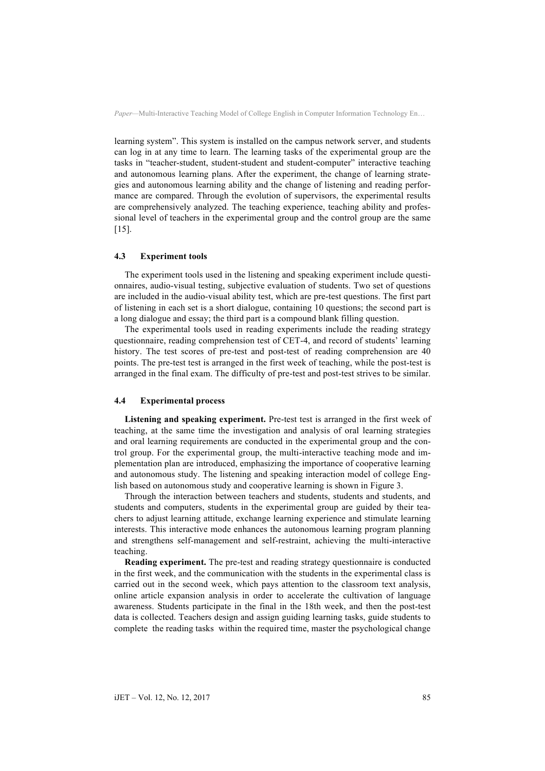learning system". This system is installed on the campus network server, and students can log in at any time to learn. The learning tasks of the experimental group are the tasks in "teacher-student, student-student and student-computer" interactive teaching and autonomous learning plans. After the experiment, the change of learning strategies and autonomous learning ability and the change of listening and reading performance are compared. Through the evolution of supervisors, the experimental results are comprehensively analyzed. The teaching experience, teaching ability and professional level of teachers in the experimental group and the control group are the same [15].

#### **4.3 Experiment tools**

The experiment tools used in the listening and speaking experiment include questionnaires, audio-visual testing, subjective evaluation of students. Two set of questions are included in the audio-visual ability test, which are pre-test questions. The first part of listening in each set is a short dialogue, containing 10 questions; the second part is a long dialogue and essay; the third part is a compound blank filling question.

The experimental tools used in reading experiments include the reading strategy questionnaire, reading comprehension test of CET-4, and record of students' learning history. The test scores of pre-test and post-test of reading comprehension are 40 points. The pre-test test is arranged in the first week of teaching, while the post-test is arranged in the final exam. The difficulty of pre-test and post-test strives to be similar.

#### **4.4 Experimental process**

Listening and speaking experiment. Pre-test test is arranged in the first week of teaching, at the same time the investigation and analysis of oral learning strategies and oral learning requirements are conducted in the experimental group and the control group. For the experimental group, the multi-interactive teaching mode and implementation plan are introduced, emphasizing the importance of cooperative learning and autonomous study. The listening and speaking interaction model of college English based on autonomous study and cooperative learning is shown in Figure 3.

Through the interaction between teachers and students, students and students, and students and computers, students in the experimental group are guided by their teachers to adjust learning attitude, exchange learning experience and stimulate learning interests. This interactive mode enhances the autonomous learning program planning and strengthens self-management and self-restraint, achieving the multi-interactive teaching.

**Reading experiment.** The pre-test and reading strategy questionnaire is conducted in the first week, and the communication with the students in the experimental class is carried out in the second week, which pays attention to the classroom text analysis, online article expansion analysis in order to accelerate the cultivation of language awareness. Students participate in the final in the 18th week, and then the post-test data is collected. Teachers design and assign guiding learning tasks, guide students to complete the reading tasks within the required time, master the psychological change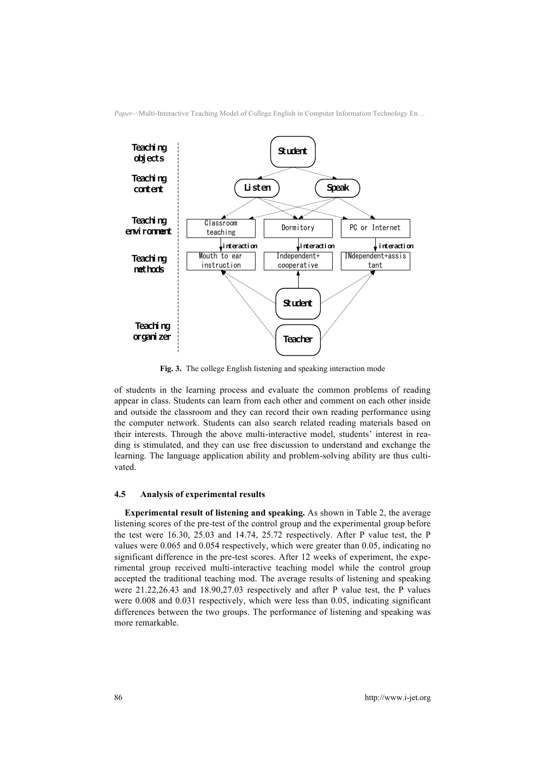

**Fig. 3.** The college English listening and speaking interaction mode

of students in the learning process and evaluate the common problems of reading appear in class. Students can learn from each other and comment on each other inside and outside the classroom and they can record their own reading performance using the computer network. Students can also search related reading materials based on their interests. Through the above multi-interactive model, students' interest in reading is stimulated, and they can use free discussion to understand and exchange the learning. The language application ability and problem-solving ability are thus cultivated.

#### **4.5 Analysis of experimental results**

**Experimental result of listening and speaking.** As shown in Table 2, the average listening scores of the pre-test of the control group and the experimental group before the test were 16.30, 25.03 and 14.74, 25.72 respectively. After P value test, the P values were 0.065 and 0.054 respectively, which were greater than 0.05, indicating no significant difference in the pre-test scores. After 12 weeks of experiment, the experimental group received multi-interactive teaching model while the control group accepted the traditional teaching mod. The average results of listening and speaking were 21.22,26.43 and 18.90,27.03 respectively and after P value test, the P values were 0.008 and 0.031 respectively, which were less than 0.05, indicating significant differences between the two groups. The performance of listening and speaking was more remarkable.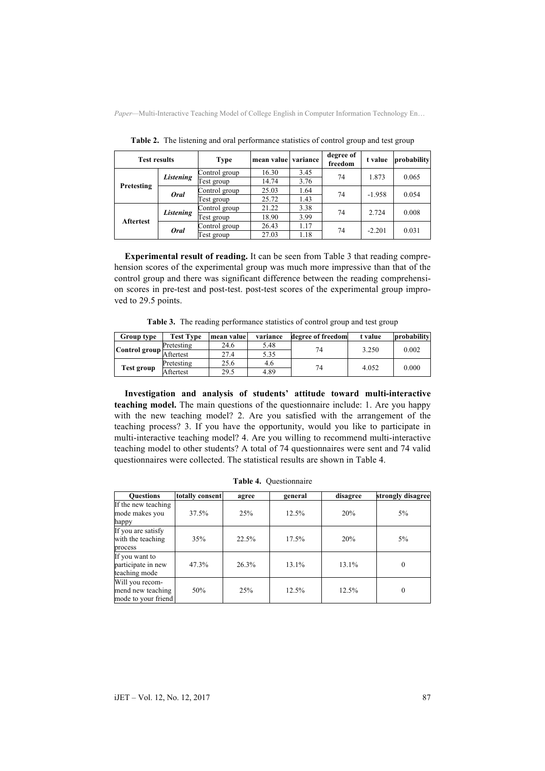| <b>Test results</b> |             | Type          | mean value variance |      | degree of<br>freedom | t value  | probability |
|---------------------|-------------|---------------|---------------------|------|----------------------|----------|-------------|
|                     |             | Control group | 16.30               | 3.45 | 74                   | 1.873    | 0.065       |
|                     | Listening   | est group     | 14.74               | 3.76 |                      |          |             |
| Pretesting          | <b>Oral</b> | Control group | 25.03               | 1.64 | 74                   | $-1.958$ | 0.054       |
|                     |             | Fest group    | 25.72               | 1.43 |                      |          |             |
| <b>Aftertest</b>    | Listening   | Control group | 21.22               | 3.38 | 74                   | 2.724    | 0.008       |
|                     |             | est group     | 18.90               | 3.99 |                      |          |             |
|                     | <b>Oral</b> | Control group | 26.43               | 1.17 | 74                   | $-2.201$ | 0.031       |
|                     |             | est group     | 27.03               | 1.18 |                      |          |             |

**Table 2.** The listening and oral performance statistics of control group and test group

**Experimental result of reading.** It can be seen from Table 3 that reading comprehension scores of the experimental group was much more impressive than that of the control group and there was significant difference between the reading comprehension scores in pre-test and post-test. post-test scores of the experimental group improved to 29.5 points.

**Table 3.** The reading performance statistics of control group and test group

| <b>Group type</b>       | <b>Test Type</b> | mean value | variance | degree of freedom | t value | probability |
|-------------------------|------------------|------------|----------|-------------------|---------|-------------|
| Control group Aftertest | Pretesting       | 24.6       | 5.48     | 74                | 3.250   | 0.002       |
|                         |                  | 27.4       | 5.35     |                   |         |             |
| <b>Test group</b>       | Pretesting       | 25.6       | 4.6      | 74                | 4.052   | 0.000       |
|                         | Aftertest        | 29.5       | 4.89     |                   |         |             |

**Investigation and analysis of students' attitude toward multi-interactive teaching model.** The main questions of the questionnaire include: 1. Are you happy with the new teaching model? 2. Are you satisfied with the arrangement of the teaching process? 3. If you have the opportunity, would you like to participate in multi-interactive teaching model? 4. Are you willing to recommend multi-interactive teaching model to other students? A total of 74 questionnaires were sent and 74 valid questionnaires were collected. The statistical results are shown in Table 4.

| <b>Ouestions</b>                                      | totally consent | agree | general | disagree | strongly disagree |
|-------------------------------------------------------|-----------------|-------|---------|----------|-------------------|
| If the new teaching<br>mode makes you<br>happy        | 37.5%           | 25%   | 12.5%   | 20%      | $5\%$             |
| If you are satisfy<br>with the teaching<br>process    | 35%             | 22.5% | 17.5%   | 20%      | $5\%$             |
| If you want to<br>participate in new<br>teaching mode | 47.3%           | 26.3% | 13.1%   | $13.1\%$ | $\theta$          |
| Will you recom-<br>mend new teaching                  | 50%             | 25%   | 12.5%   | 12.5%    | $\theta$          |

**Table 4.** Questionnaire

mode to your friend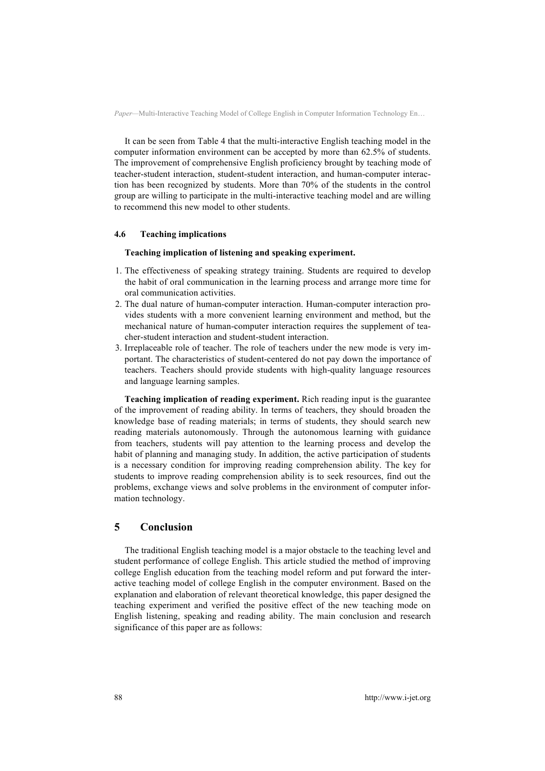It can be seen from Table 4 that the multi-interactive English teaching model in the computer information environment can be accepted by more than 62.5% of students. The improvement of comprehensive English proficiency brought by teaching mode of teacher-student interaction, student-student interaction, and human-computer interaction has been recognized by students. More than 70% of the students in the control group are willing to participate in the multi-interactive teaching model and are willing to recommend this new model to other students.

#### **4.6 Teaching implications**

#### **Teaching implication of listening and speaking experiment.**

- 1. The effectiveness of speaking strategy training. Students are required to develop the habit of oral communication in the learning process and arrange more time for oral communication activities.
- 2. The dual nature of human-computer interaction. Human-computer interaction provides students with a more convenient learning environment and method, but the mechanical nature of human-computer interaction requires the supplement of teacher-student interaction and student-student interaction.
- 3. Irreplaceable role of teacher. The role of teachers under the new mode is very important. The characteristics of student-centered do not pay down the importance of teachers. Teachers should provide students with high-quality language resources and language learning samples.

**Teaching implication of reading experiment.** Rich reading input is the guarantee of the improvement of reading ability. In terms of teachers, they should broaden the knowledge base of reading materials; in terms of students, they should search new reading materials autonomously. Through the autonomous learning with guidance from teachers, students will pay attention to the learning process and develop the habit of planning and managing study. In addition, the active participation of students is a necessary condition for improving reading comprehension ability. The key for students to improve reading comprehension ability is to seek resources, find out the problems, exchange views and solve problems in the environment of computer information technology.

# **5 Conclusion**

The traditional English teaching model is a major obstacle to the teaching level and student performance of college English. This article studied the method of improving college English education from the teaching model reform and put forward the interactive teaching model of college English in the computer environment. Based on the explanation and elaboration of relevant theoretical knowledge, this paper designed the teaching experiment and verified the positive effect of the new teaching mode on English listening, speaking and reading ability. The main conclusion and research significance of this paper are as follows: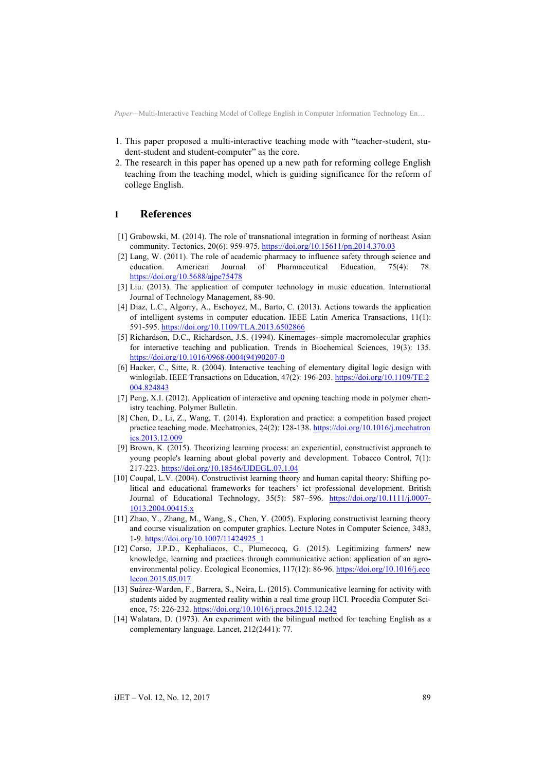- 1. This paper proposed a multi-interactive teaching mode with "teacher-student, student-student and student-computer" as the core.
- 2. The research in this paper has opened up a new path for reforming college English teaching from the teaching model, which is guiding significance for the reform of college English.

## **1 References**

- [1] Grabowski, M. (2014). The role of transnational integration in forming of northeast Asian community. Tectonics, 20(6): 959-975. https://doi.org/10.15611/pn.2014.370.03
- [2] Lang, W. (2011). The role of academic pharmacy to influence safety through science and education. American Journal of Pharmaceutical Education, 75(4): 78. https://doi.org/10.5688/ajpe75478
- [3] Liu. (2013). The application of computer technology in music education. International Journal of Technology Management, 88-90.
- [4] Diaz, L.C., Algorry, A., Eschoyez, M., Barto, C. (2013). Actions towards the application of intelligent systems in computer education. IEEE Latin America Transactions, 11(1): 591-595. https://doi.org/10.1109/TLA.2013.6502866
- [5] Richardson, D.C., Richardson, J.S. (1994). Kinemages--simple macromolecular graphics for interactive teaching and publication. Trends in Biochemical Sciences, 19(3): 135. https://doi.org/10.1016/0968-0004(94)90207-0
- [6] Hacker, C., Sitte, R. (2004). Interactive teaching of elementary digital logic design with winlogilab. IEEE Transactions on Education, 47(2): 196-203. https://doi.org/10.1109/TE.2 004.824843
- [7] Peng, X.I. (2012). Application of interactive and opening teaching mode in polymer chemistry teaching. Polymer Bulletin.
- [8] Chen, D., Li, Z., Wang, T. (2014). Exploration and practice: a competition based project practice teaching mode. Mechatronics, 24(2): 128-138. https://doi.org/10.1016/j.mechatron ics.2013.12.009
- [9] Brown, K. (2015). Theorizing learning process: an experiential, constructivist approach to young people's learning about global poverty and development. Tobacco Control, 7(1): 217-223. https://doi.org/10.18546/IJDEGL.07.1.04
- [10] Coupal, L.V. (2004). Constructivist learning theory and human capital theory: Shifting political and educational frameworks for teachers' ict professional development. British Journal of Educational Technology, 35(5): 587–596. https://doi.org/10.1111/j.0007- 1013.2004.00415.x
- [11] Zhao, Y., Zhang, M., Wang, S., Chen, Y. (2005). Exploring constructivist learning theory and course visualization on computer graphics. Lecture Notes in Computer Science, 3483, 1-9. https://doi.org/10.1007/11424925\_1
- [12] Corso, J.P.D., Kephaliacos, C., Plumecocq, G. (2015). Legitimizing farmers' new knowledge, learning and practices through communicative action: application of an agroenvironmental policy. Ecological Economics, 117(12): 86-96. https://doi.org/10.1016/j.eco lecon.2015.05.017
- [13] Suárez-Warden, F., Barrera, S., Neira, L. (2015). Communicative learning for activity with students aided by augmented reality within a real time group HCI. Procedia Computer Science, 75: 226-232. https://doi.org/10.1016/j.procs.2015.12.242
- [14] Walatara, D. (1973). An experiment with the bilingual method for teaching English as a complementary language. Lancet, 212(2441): 77.